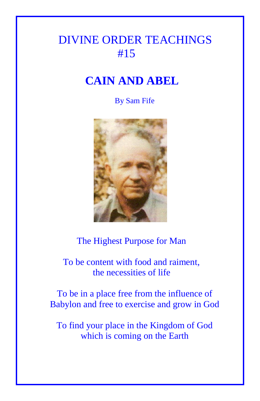## DIVINE ORDER TEACHINGS #15

## **CAIN AND ABEL**

## By Sam Fife



## The Highest Purpose for Man

 To be content with food and raiment, the necessities of life

To be in a place free from the influence of Babylon and free to exercise and grow in God

To find your place in the Kingdom of God which is coming on the Earth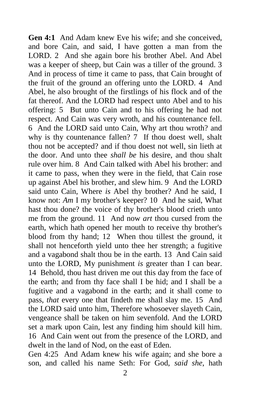**Gen 4:1** And Adam knew Eve his wife; and she conceived, and bore Cain, and said, I have gotten a man from the LORD. 2 And she again bore his brother Abel. And Abel was a keeper of sheep, but Cain was a tiller of the ground. 3 And in process of time it came to pass, that Cain brought of the fruit of the ground an offering unto the LORD. 4 And Abel, he also brought of the firstlings of his flock and of the fat thereof. And the LORD had respect unto Abel and to his offering: 5 But unto Cain and to his offering he had not respect. And Cain was very wroth, and his countenance fell. 6 And the LORD said unto Cain, Why art thou wroth? and why is thy countenance fallen? 7 If thou doest well, shalt thou not be accepted? and if thou doest not well, sin lieth at the door. And unto thee *shall be* his desire, and thou shalt rule over him. 8 And Cain talked with Abel his brother: and it came to pass, when they were in the field, that Cain rose up against Abel his brother, and slew him. 9 And the LORD said unto Cain, Where *is* Abel thy brother? And he said, I know not: *Am* I my brother's keeper? 10 And he said, What hast thou done? the voice of thy brother's blood crieth unto me from the ground. 11 And now *art* thou cursed from the earth, which hath opened her mouth to receive thy brother's blood from thy hand; 12 When thou tillest the ground, it shall not henceforth yield unto thee her strength; a fugitive and a vagabond shalt thou be in the earth. 13 And Cain said unto the LORD, My punishment *is* greater than I can bear. 14 Behold, thou hast driven me out this day from the face of the earth; and from thy face shall I be hid; and I shall be a fugitive and a vagabond in the earth; and it shall come to pass, *that* every one that findeth me shall slay me. 15 And the LORD said unto him, Therefore whosoever slayeth Cain, vengeance shall be taken on him sevenfold. And the LORD set a mark upon Cain, lest any finding him should kill him. 16 And Cain went out from the presence of the LORD, and dwelt in the land of Nod, on the east of Eden.

Gen 4:25 And Adam knew his wife again; and she bore a son, and called his name Seth: For God, *said she*, hath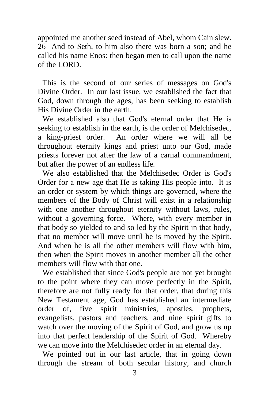appointed me another seed instead of Abel, whom Cain slew. 26 And to Seth, to him also there was born a son; and he called his name Enos: then began men to call upon the name of the LORD.

This is the second of our series of messages on God's Divine Order. In our last issue, we established the fact that God, down through the ages, has been seeking to establish His Divine Order in the earth.

We established also that God's eternal order that He is seeking to establish in the earth, is the order of Melchisedec, a king-priest order. An order where we will all be throughout eternity kings and priest unto our God, made priests forever not after the law of a carnal commandment, but after the power of an endless life.

We also established that the Melchisedec Order is God's Order for a new age that He is taking His people into. It is an order or system by which things are governed, where the members of the Body of Christ will exist in a relationship with one another throughout eternity without laws, rules, without a governing force. Where, with every member in that body so yielded to and so led by the Spirit in that body, that no member will move until he is moved by the Spirit. And when he is all the other members will flow with him, then when the Spirit moves in another member all the other members will flow with that one.

We established that since God's people are not yet brought to the point where they can move perfectly in the Spirit, therefore are not fully ready for that order, that during this New Testament age, God has established an intermediate order of, five spirit ministries, apostles, prophets, evangelists, pastors and teachers, and nine spirit gifts to watch over the moving of the Spirit of God, and grow us up into that perfect leadership of the Spirit of God. Whereby we can move into the Melchisedec order in an eternal day.

We pointed out in our last article, that in going down through the stream of both secular history, and church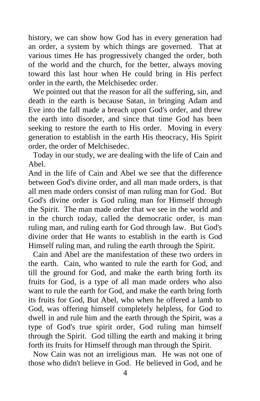history, we can show how God has in every generation had an order, a system by which things are governed. That at various times He has progressively changed the order, both of the world and the church, for the better, always moving toward this last hour when He could bring in His perfect order in the earth, the Melchisedec order.

We pointed out that the reason for all the suffering, sin, and death in the earth is because Satan, in bringing Adam and Eve into the fall made a breach upon God's order, and threw the earth into disorder, and since that time God has been seeking to restore the earth to His order. Moving in every generation to establish in the earth His theocracy, His Spirit order, the order of Melchisedec.

Today in our study, we are dealing with the life of Cain and Abel.

And in the life of Cain and Abel we see that the difference between God's divine order, and all man made orders, is that all men made orders consist of man ruling man for God. But God's divine order is God ruling man for Himself through the Spirit. The man made order that we see in the world and in the church today, called the democratic order, is man ruling man, and ruling earth for God through law. But God's divine order that He wants to establish in the earth is God Himself ruling man, and ruling the earth through the Spirit.

Cain and Abel are the manifestation of these two orders in the earth. Cain, who wanted to rule the earth for God, and till the ground for God, and make the earth bring forth its fruits for God, is a type of all man made orders who also want to rule the earth for God, and make the earth bring forth its fruits for God, But Abel, who when he offered a lamb to God, was offering himself completely helpless, for God to dwell in and rule him and the earth through the Spirit, was a type of God's true spirit order, God ruling man himself through the Spirit. God tilling the earth and making it bring forth its fruits for Himself through man through the Spirit.

Now Cain was not an irreligious man. He was not one of those who didn't believe in God. He believed in God, and he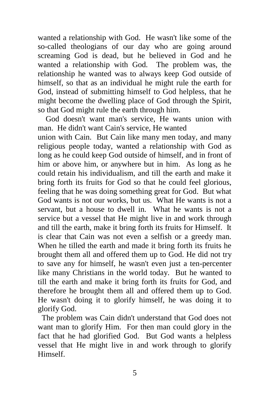wanted a relationship with God. He wasn't like some of the so-called theologians of our day who are going around screaming God is dead, but he believed in God and he wanted a relationship with God. The problem was, the relationship he wanted was to always keep God outside of himself, so that as an individual he might rule the earth for God, instead of submitting himself to God helpless, that he might become the dwelling place of God through the Spirit, so that God might rule the earth through him.

 God doesn't want man's service, He wants union with man. He didn't want Cain's service, He wanted

union with Cain. But Cain like many men today, and many religious people today, wanted a relationship with God as long as he could keep God outside of himself, and in front of him or above him, or anywhere but in him. As long as he could retain his individualism, and till the earth and make it bring forth its fruits for God so that he could feel glorious, feeling that he was doing something great for God. But what God wants is not our works, but us. What He wants is not a servant, but a house to dwell in. What he wants is not a service but a vessel that He might live in and work through and till the earth, make it bring forth its fruits for Himself. It is clear that Cain was not even a selfish or a greedy man. When he tilled the earth and made it bring forth its fruits he brought them all and offered them up to God. He did not try to save any for himself, he wasn't even just a ten-percenter like many Christians in the world today. But he wanted to till the earth and make it bring forth its fruits for God, and therefore he brought them all and offered them up to God. He wasn't doing it to glorify himself, he was doing it to glorify God.

 The problem was Cain didn't understand that God does not want man to glorify Him. For then man could glory in the fact that he had glorified God. But God wants a helpless vessel that He might live in and work through to glorify Himself.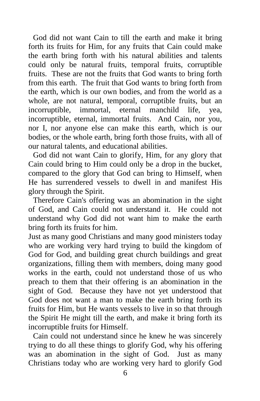God did not want Cain to till the earth and make it bring forth its fruits for Him, for any fruits that Cain could make the earth bring forth with his natural abilities and talents could only be natural fruits, temporal fruits, corruptible fruits. These are not the fruits that God wants to bring forth from this earth. The fruit that God wants to bring forth from the earth, which is our own bodies, and from the world as a whole, are not natural, temporal, corruptible fruits, but an incorruptible, immortal, eternal manchild life, yea, incorruptible, eternal, immortal fruits. And Cain, nor you, nor I, nor anyone else can make this earth, which is our bodies, or the whole earth, bring forth those fruits, with all of our natural talents, and educational abilities.

God did not want Cain to glorify, Him, for any glory that Cain could bring to Him could only be a drop in the bucket, compared to the glory that God can bring to Himself, when He has surrendered vessels to dwell in and manifest His glory through the Spirit.

Therefore Cain's offering was an abomination in the sight of God, and Cain could not understand it. He could not understand why God did not want him to make the earth bring forth its fruits for him.

Just as many good Christians and many good ministers today who are working very hard trying to build the kingdom of God for God, and building great church buildings and great organizations, filling them with members, doing many good works in the earth, could not understand those of us who preach to them that their offering is an abomination in the sight of God. Because they have not yet understood that God does not want a man to make the earth bring forth its fruits for Him, but He wants vessels to live in so that through the Spirit He might till the earth, and make it bring forth its incorruptible fruits for Himself.

Cain could not understand since he knew he was sincerely trying to do all these things to glorify God, why his offering was an abomination in the sight of God. Just as many Christians today who are working very hard to glorify God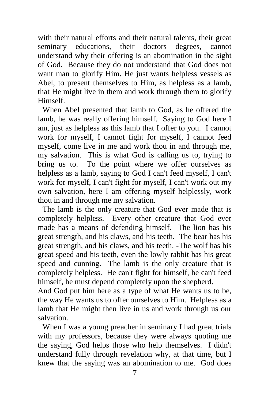with their natural efforts and their natural talents, their great seminary educations, their doctors degrees, cannot understand why their offering is an abomination in the sight of God. Because they do not understand that God does not want man to glorify Him. He just wants helpless vessels as Abel, to present themselves to Him, as helpless as a lamb, that He might live in them and work through them to glorify Himself.

When Abel presented that lamb to God, as he offered the lamb, he was really offering himself. Saying to God here I am, just as helpless as this lamb that I offer to you. I cannot work for myself, I cannot fight for myself, I cannot feed myself, come live in me and work thou in and through me, my salvation. This is what God is calling us to, trying to bring us to. To the point where we offer ourselves as helpless as a lamb, saying to God I can't feed myself, I can't work for myself, I can't fight for myself, I can't work out my own salvation, here I am offering myself helplessly, work thou in and through me my salvation.

The lamb is the only creature that God ever made that is completely helpless. Every other creature that God ever made has a means of defending himself. The lion has his great strength, and his claws, and his teeth. The bear has his great strength, and his claws, and his teeth. -The wolf has his great speed and his teeth, even the lowly rabbit has his great speed and cunning. The lamb is the only creature that is completely helpless. He can't fight for himself, he can't feed himself, he must depend completely upon the shepherd.

And God put him here as a type of what He wants us to be, the way He wants us to offer ourselves to Him. Helpless as a lamb that He might then live in us and work through us our salvation.

When I was a young preacher in seminary I had great trials with my professors, because they were always quoting me the saying, God helps those who help themselves. I didn't understand fully through revelation why, at that time, but I knew that the saying was an abomination to me. God does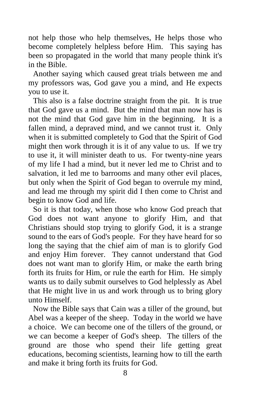not help those who help themselves, He helps those who become completely helpless before Him. This saying has been so propagated in the world that many people think it's in the Bible.

Another saying which caused great trials between me and my professors was, God gave you a mind, and He expects you to use it.

This also is a false doctrine straight from the pit. It is true that God gave us a mind. But the mind that man now has is not the mind that God gave him in the beginning. It is a fallen mind, a depraved mind, and we cannot trust it. Only when it is submitted completely to God that the Spirit of God might then work through it is it of any value to us. If we try to use it, it will minister death to us. For twenty-nine years of my life I had a mind, but it never led me to Christ and to salvation, it led me to barrooms and many other evil places, but only when the Spirit of God began to overrule my mind, and lead me through my spirit did I then come to Christ and begin to know God and life.

So it is that today, when those who know God preach that God does not want anyone to glorify Him, and that Christians should stop trying to glorify God, it is a strange sound to the ears of God's people. For they have heard for so long the saying that the chief aim of man is to glorify God and enjoy Him forever. They cannot understand that God does not want man to glorify Him, or make the earth bring forth its fruits for Him, or rule the earth for Him. He simply wants us to daily submit ourselves to God helplessly as Abel that He might live in us and work through us to bring glory unto Himself.

Now the Bible says that Cain was a tiller of the ground, but Abel was a keeper of the sheep. Today in the world we have a choice. We can become one of the tillers of the ground, or we can become a keeper of God's sheep. The tillers of the ground are those who spend their life getting great educations, becoming scientists, learning how to till the earth and make it bring forth its fruits for God.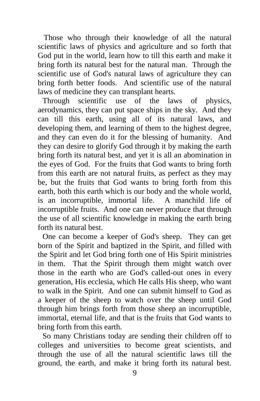Those who through their knowledge of all the natural scientific laws of physics and agriculture and so forth that God put in the world, learn how to till this earth and make it bring forth its natural best for the natural man. Through the scientific use of God's natural laws of agriculture they can bring forth better foods. And scientific use of the natural laws of medicine they can transplant hearts.

Through scientific use of the laws of physics, aerodynamics, they can put space ships in the sky. And they can till this earth, using all of its natural laws, and developing them, and learning of them to the highest degree, and they can even do it for the blessing of humanity. And they can desire to glorify God through it by making the earth bring forth its natural best, and yet it is all an abomination in the eyes of God. For the fruits that God wants to bring forth from this earth are not natural fruits, as perfect as they may be, but the fruits that God wants to bring forth from this earth, both this earth which is our body and the whole world, is an incorruptible, immortal life. A manchild life of incorruptible fruits. And one can never produce that through the use of all scientific knowledge in making the earth bring forth its natural best.

One can become a keeper of God's sheep. They can get born of the Spirit and baptized in the Spirit, and filled with the Spirit and let God bring forth one of His Spirit ministries in them. That the Spirit through them might watch over those in the earth who are God's called-out ones in every generation, His ecclesia, which He calls His sheep, who want to walk in the Spirit. And one can submit himself to God as a keeper of the sheep to watch over the sheep until God through him brings forth from those sheep an incorruptible, immortal, eternal life, and that is the fruits that God wants to bring forth from this earth.

So many Christians today are sending their children off to colleges and universities to become great scientists, and through the use of all the natural scientific laws till the ground, the earth, and make it bring forth its natural best.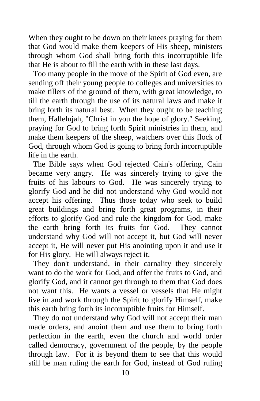When they ought to be down on their knees praying for them that God would make them keepers of His sheep, ministers through whom God shall bring forth this incorruptible life that He is about to fill the earth with in these last days.

Too many people in the move of the Spirit of God even, are sending off their young people to colleges and universities to make tillers of the ground of them, with great knowledge, to till the earth through the use of its natural laws and make it bring forth its natural best. When they ought to be teaching them, Hallelujah, "Christ in you the hope of glory." Seeking, praying for God to bring forth Spirit ministries in them, and make them keepers of the sheep, watchers over this flock of God, through whom God is going to bring forth incorruptible life in the earth.

The Bible says when God rejected Cain's offering, Cain became very angry. He was sincerely trying to give the fruits of his labours to God. He was sincerely trying to glorify God and he did not understand why God would not accept his offering. Thus those today who seek to build great buildings and bring forth great programs, in their efforts to glorify God and rule the kingdom for God, make the earth bring forth its fruits for God. They cannot understand why God will not accept it, but God will never accept it, He will never put His anointing upon it and use it for His glory. He will always reject it.

They don't understand, in their carnality they sincerely want to do the work for God, and offer the fruits to God, and glorify God, and it cannot get through to them that God does not want this. He wants a vessel or vessels that He might live in and work through the Spirit to glorify Himself, make this earth bring forth its incorruptible fruits for Himself.

They do not understand why God will not accept their man made orders, and anoint them and use them to bring forth perfection in the earth, even the church and world order called democracy, government of the people, by the people through law. For it is beyond them to see that this would still be man ruling the earth for God, instead of God ruling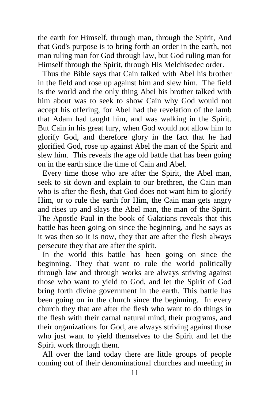the earth for Himself, through man, through the Spirit, And that God's purpose is to bring forth an order in the earth, not man ruling man for God through law, but God ruling man for Himself through the Spirit, through His Melchisedec order.

Thus the Bible says that Cain talked with Abel his brother in the field and rose up against him and slew him. The field is the world and the only thing Abel his brother talked with him about was to seek to show Cain why God would not accept his offering, for Abel had the revelation of the lamb that Adam had taught him, and was walking in the Spirit. But Cain in his great fury, when God would not allow him to glorify God, and therefore glory in the fact that he had glorified God, rose up against Abel the man of the Spirit and slew him. This reveals the age old battle that has been going on in the earth since the time of Cain and Abel.

Every time those who are after the Spirit, the Abel man, seek to sit down and explain to our brethren, the Cain man who is after the flesh, that God does not want him to glorify Him, or to rule the earth for Him, the Cain man gets angry and rises up and slays the Abel man, the man of the Spirit. The Apostle Paul in the book of Galatians reveals that this battle has been going on since the beginning, and he says as it was then so it is now, they that are after the flesh always persecute they that are after the spirit.

In the world this battle has been going on since the beginning. They that want to rule the world politically through law and through works are always striving against those who want to yield to God, and let the Spirit of God bring forth divine government in the earth. This battle has been going on in the church since the beginning. In every church they that are after the flesh who want to do things in the flesh with their carnal natural mind, their programs, and their organizations for God, are always striving against those who just want to yield themselves to the Spirit and let the Spirit work through them.

All over the land today there are little groups of people coming out of their denominational churches and meeting in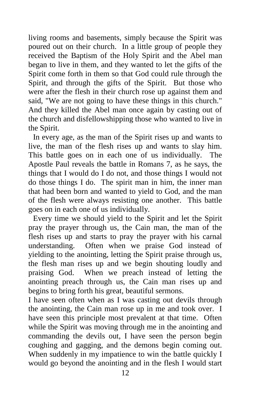living rooms and basements, simply because the Spirit was poured out on their church. In a little group of people they received the Baptism of the Holy Spirit and the Abel man began to live in them, and they wanted to let the gifts of the Spirit come forth in them so that God could rule through the Spirit, and through the gifts of the Spirit. But those who were after the flesh in their church rose up against them and said, "We are not going to have these things in this church." And they killed the Abel man once again by casting out of the church and disfellowshipping those who wanted to live in the Spirit.

In every age, as the man of the Spirit rises up and wants to live, the man of the flesh rises up and wants to slay him. This battle goes on in each one of us individually. The Apostle Paul reveals the battle in Romans 7, as he says, the things that I would do I do not, and those things I would not do those things I do. The spirit man in him, the inner man that had been born and wanted to yield to God, and the man of the flesh were always resisting one another. This battle goes on in each one of us individually.

Every time we should yield to the Spirit and let the Spirit pray the prayer through us, the Cain man, the man of the flesh rises up and starts to pray the prayer with his carnal understanding. Often when we praise God instead of yielding to the anointing, letting the Spirit praise through us, the flesh man rises up and we begin shouting loudly and praising God. When we preach instead of letting the anointing preach through us, the Cain man rises up and begins to bring forth his great, beautiful sermons.

I have seen often when as I was casting out devils through the anointing, the Cain man rose up in me and took over. I have seen this principle most prevalent at that time. Often while the Spirit was moving through me in the anointing and commanding the devils out, I have seen the person begin coughing and gagging, and the demons begin coming out. When suddenly in my impatience to win the battle quickly I would go beyond the anointing and in the flesh I would start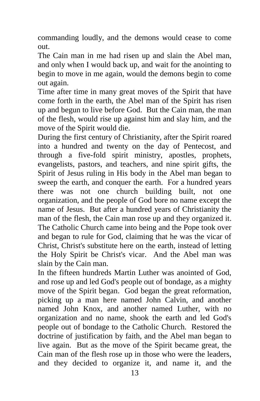commanding loudly, and the demons would cease to come out.

The Cain man in me had risen up and slain the Abel man, and only when I would back up, and wait for the anointing to begin to move in me again, would the demons begin to come out again.

Time after time in many great moves of the Spirit that have come forth in the earth, the Abel man of the Spirit has risen up and begun to live before God. But the Cain man, the man of the flesh, would rise up against him and slay him, and the move of the Spirit would die.

During the first century of Christianity, after the Spirit roared into a hundred and twenty on the day of Pentecost, and through a five-fold spirit ministry, apostles, prophets, evangelists, pastors, and teachers, and nine spirit gifts, the Spirit of Jesus ruling in His body in the Abel man began to sweep the earth, and conquer the earth. For a hundred years there was not one church building built, not one organization, and the people of God bore no name except the name of Jesus. But after a hundred years of Christianity the man of the flesh, the Cain man rose up and they organized it. The Catholic Church came into being and the Pope took over and began to rule for God, claiming that he was the vicar of Christ, Christ's substitute here on the earth, instead of letting the Holy Spirit be Christ's vicar. And the Abel man was slain by the Cain man.

In the fifteen hundreds Martin Luther was anointed of God, and rose up and led God's people out of bondage, as a mighty move of the Spirit began. God began the great reformation, picking up a man here named John Calvin, and another named John Knox, and another named Luther, with no organization and no name, shook the earth and led God's people out of bondage to the Catholic Church. Restored the doctrine of justification by faith, and the Abel man began to live again. But as the move of the Spirit became great, the Cain man of the flesh rose up in those who were the leaders, and they decided to organize it, and name it, and the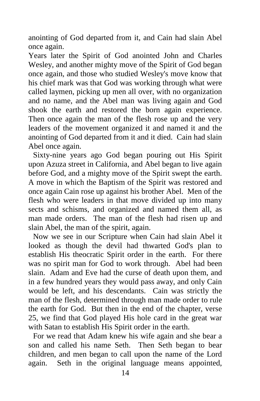anointing of God departed from it, and Cain had slain Abel once again.

Years later the Spirit of God anointed John and Charles Wesley, and another mighty move of the Spirit of God began once again, and those who studied Wesley's move know that his chief mark was that God was working through what were called laymen, picking up men all over, with no organization and no name, and the Abel man was living again and God shook the earth and restored the born again experience. Then once again the man of the flesh rose up and the very leaders of the movement organized it and named it and the anointing of God departed from it and it died. Cain had slain Abel once again.

Sixty-nine years ago God began pouring out His Spirit upon Azuza street in California, and Abel began to live again before God, and a mighty move of the Spirit swept the earth. A move in which the Baptism of the Spirit was restored and once again Cain rose up against his brother Abel. Men of the flesh who were leaders in that move divided up into many sects and schisms, and organized and named them all, as man made orders. The man of the flesh had risen up and slain Abel, the man of the spirit, again.

Now we see in our Scripture when Cain had slain Abel it looked as though the devil had thwarted God's plan to establish His theocratic Spirit order in the earth. For there was no spirit man for God to work through. Abel had been slain. Adam and Eve had the curse of death upon them, and in a few hundred years they would pass away, and only Cain would be left, and his descendants. Cain was strictly the man of the flesh, determined through man made order to rule the earth for God. But then in the end of the chapter, verse 25, we find that God played His hole card in the great war with Satan to establish His Spirit order in the earth.

For we read that Adam knew his wife again and she bear a son and called his name Seth. Then Seth began to bear children, and men began to call upon the name of the Lord again. Seth in the original language means appointed,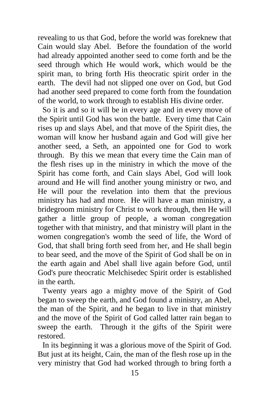revealing to us that God, before the world was foreknew that Cain would slay Abel. Before the foundation of the world had already appointed another seed to come forth and be the seed through which He would work, which would be the spirit man, to bring forth His theocratic spirit order in the earth. The devil had not slipped one over on God, but God had another seed prepared to come forth from the foundation of the world, to work through to establish His divine order.

So it is and so it will be in every age and in every move of the Spirit until God has won the battle. Every time that Cain rises up and slays Abel, and that move of the Spirit dies, the woman will know her husband again and God will give her another seed, a Seth, an appointed one for God to work through. By this we mean that every time the Cain man of the flesh rises up in the ministry in which the move of the Spirit has come forth, and Cain slays Abel, God will look around and He will find another young ministry or two, and He will pour the revelation into them that the previous ministry has had and more. He will have a man ministry, a bridegroom ministry for Christ to work through, then He will gather a little group of people, a woman congregation together with that ministry, and that ministry will plant in the women congregation's womb the seed of life, the Word of God, that shall bring forth seed from her, and He shall begin to bear seed, and the move of the Spirit of God shall be on in the earth again and Abel shall live again before God, until God's pure theocratic Melchisedec Spirit order is established in the earth.

Twenty years ago a mighty move of the Spirit of God began to sweep the earth, and God found a ministry, an Abel, the man of the Spirit, and he began to live in that ministry and the move of the Spirit of God called latter rain began to sweep the earth. Through it the gifts of the Spirit were restored.

In its beginning it was a glorious move of the Spirit of God. But just at its height, Cain, the man of the flesh rose up in the very ministry that God had worked through to bring forth a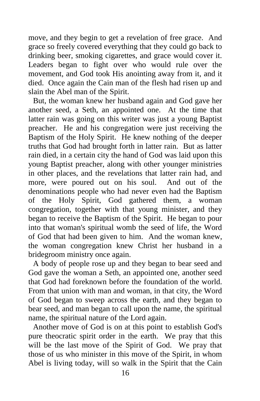move, and they begin to get a revelation of free grace. And grace so freely covered everything that they could go back to drinking beer, smoking cigarettes, and grace would cover it. Leaders began to fight over who would rule over the movement, and God took His anointing away from it, and it died. Once again the Cain man of the flesh had risen up and slain the Abel man of the Spirit.

But, the woman knew her husband again and God gave her another seed, a Seth, an appointed one. At the time that latter rain was going on this writer was just a young Baptist preacher. He and his congregation were just receiving the Baptism of the Holy Spirit. He knew nothing of the deeper truths that God had brought forth in latter rain. But as latter rain died, in a certain city the hand of God was laid upon this young Baptist preacher, along with other younger ministries in other places, and the revelations that latter rain had, and more, were poured out on his soul. And out of the denominations people who had never even had the Baptism of the Holy Spirit, God gathered them, a woman congregation, together with that young minister, and they began to receive the Baptism of the Spirit. He began to pour into that woman's spiritual womb the seed of life, the Word of God that had been given to him. And the woman knew, the woman congregation knew Christ her husband in a bridegroom ministry once again.

A body of people rose up and they began to bear seed and God gave the woman a Seth, an appointed one, another seed that God had foreknown before the foundation of the world. From that union with man and woman, in that city, the Word of God began to sweep across the earth, and they began to bear seed, and man began to call upon the name, the spiritual name, the spiritual nature of the Lord again.

Another move of God is on at this point to establish God's pure theocratic spirit order in the earth. We pray that this will be the last move of the Spirit of God. We pray that those of us who minister in this move of the Spirit, in whom Abel is living today, will so walk in the Spirit that the Cain